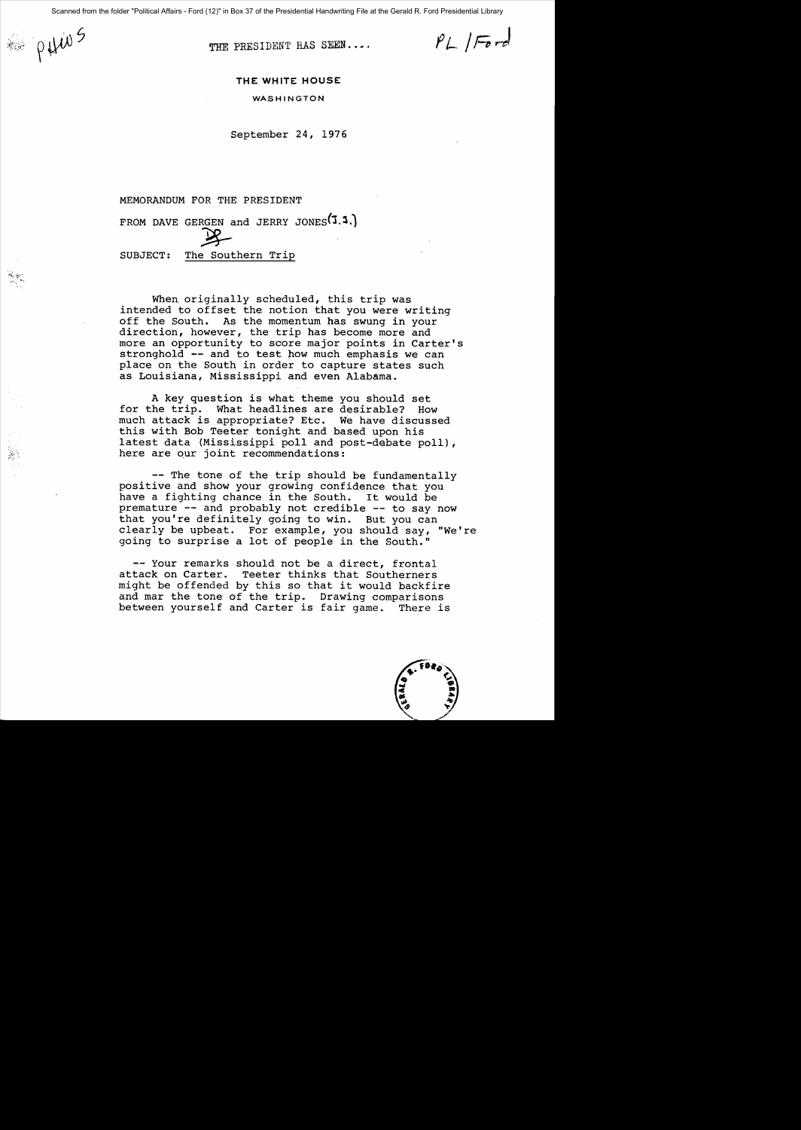PHWS

 $\sim$  $\sim$  . THE PRESIDENT HAS SEEN....

 $PL|Ford$ 

## **THE WHITE HOUSE**

WASHINGTON

September 24, 1976

## MEMORANDUM FOR THE PRESIDENT

FROM DAVE GERGEN and JERRY JONES  $(1.3.)$  $\mathscr{Z}$ 

SUBJECT: The Southern Trip

When originally scheduled, this trip was intended to offset the notion that you were writing off the South. As the momentum has swung in your direction, however, the trip has become more and more an opportunity to score major points in Carter's stronghold **--** and to test how much emphasis we can place on the South in order to capture states such as Louisiana, Mississippi and even Alabama.

A key question is what theme you should set for the trip. What headlines are desirable? How much attack is appropriate? Etc. We have discussed this with Bob Teeter tonight and based upon his latest data (Mississippi poll and post-debate poll), here are our joint recommendations:

**--** The tone of the trip should be fundamentally positive and show your growing confidence that you have a fighting chance in the South. It would be premature **--** and probably not credible **--** to say now that you're definitely going to win. But you can clearly be upbeat. For example, you should say, "We're going to surprise a lot of people in the South."

**--** Your remarks should not be a direct, frontal attack on Carter. Teeter thinks that Southerners might be offended by this so that it would backfire and mar the tone of the trip. Drawing comparisons between yourself and Carter is fair game. There is

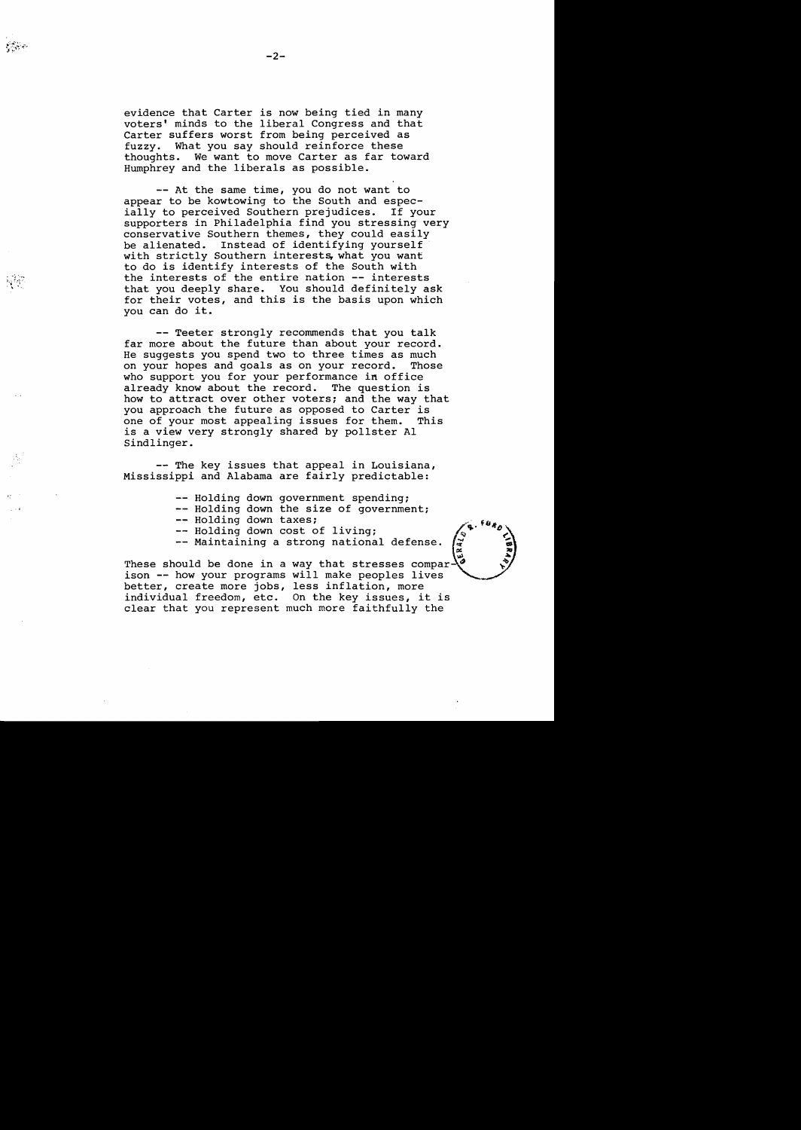. ~ ~ ',,...  $\mathbb{R}^{3,\gamma}$ 

evidence that Carter is now being tied in many voters' minds to the liberal Congress and that Carter suffers worst from being perceived as fuzzy. What you say should reinforce these thoughts. We want to move Carter as far toward Humphrey and the liberals as possible.

**--** At the same time, you do not want to appear to be kowtowing to the South and espec-<br>ially to perceived Southern prejudices. If your ially to perceived Southern prejudices. supporters in Philadelphia find you stressing very conservative Southern themes, they could easily be alienated. Instead of identifying yourself with strictly Southern interests, what you want to do is identify interests of the South with the interests of the entire nation **--** interests that you deeply share. You should definitely ask for their votes, and this is the basis upon which you can do it.

-- Teeter strongly recommends that you talk far more about the future than about your record. He suggests you spend two to three times as much<br>on your hopes and goals as on your record. Those on your hopes and goals as on your record. who support you for your performance in office already know about the record. The question is how to attract over other voters; and the way that you approach the future as opposed to Carter is one of your most appealing issues for them. This is a view very strongly shared by pollster Al Sindlinger.

**--** The key issues that appeal in Louisiana, Mississippi and Alabama are fairly predictable:

> -- Holding down government spending; -- Holding down the size of government; -- Holding down taxes;

- -- Holding down cost of living;
- -- Maintaining a strong national defense.

These should be done in a way that stresses comparison -- how your programs will make peoples lives better, create more jobs, less inflation, more<br>individual freedom, etc. On the key issues, it is clear that you represent much more faithfully the